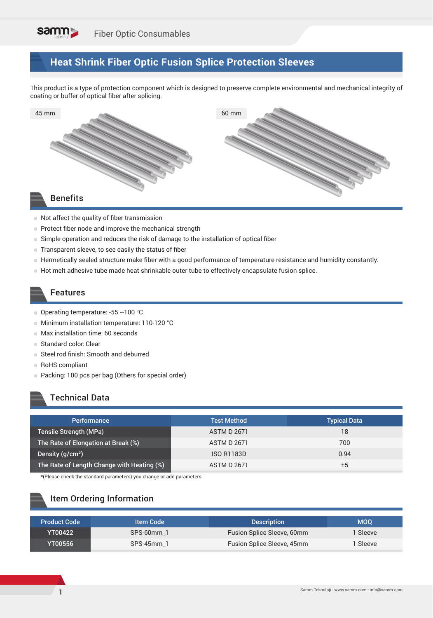# **Heat Shrink Fiber Optic Fusion Splice Protection Sleeves**

This product is a type of protection component which is designed to preserve complete environmental and mechanical integrity of coating or buffer of optical fiber after splicing.



#### Benefits

- Not affect the quality of fiber transmission
- Protect fiber node and improve the mechanical strength
- Simple operation and reduces the risk of damage to the installation of optical fiber
- Transparent sleeve, to see easily the status of fiber
- Hermetically sealed structure make fiber with a good performance of temperature resistance and humidity constantly.
- Hot melt adhesive tube made heat shrinkable outer tube to effectively encapsulate fusion splice.

#### Features

- Operating temperature: ‐55 ~100 °C
- Minimum installation temperature: 110-120 °C
- Max installation time: 60 seconds
- Standard color: Clear
- Steel rod finish: Smooth and deburred
- RoHS compliant
- Packing: 100 pcs per bag (Others for special order)

### Technical Data

| <b>Performance</b>                         | <b>Test Method</b> | <b>Typical Data</b> |
|--------------------------------------------|--------------------|---------------------|
| Tensile Strength (MPa)                     | <b>ASTM D 2671</b> | 18                  |
| The Rate of Elongation at Break (%)        | <b>ASTM D 2671</b> | 700                 |
| Density $(g/cm2)$                          | <b>ISO R1183D</b>  | 0.94                |
| The Rate of Length Change with Heating (%) | <b>ASTM D 2671</b> | ±5                  |

\*(Please check the standard parameters) you change or add parameters

### Item Ordering Information

| <b>Product Code</b> | <b>Item Code</b> | <b>Description</b>         | <b>MOQ</b> |
|---------------------|------------------|----------------------------|------------|
| YT00422             | $SPS-60mm$ 1     | Fusion Splice Sleeve, 60mm | 1 Sleeve   |
| YT00556             | $SPS-45mm$ 1     | Fusion Splice Sleeve, 45mm | 1 Sleeve   |